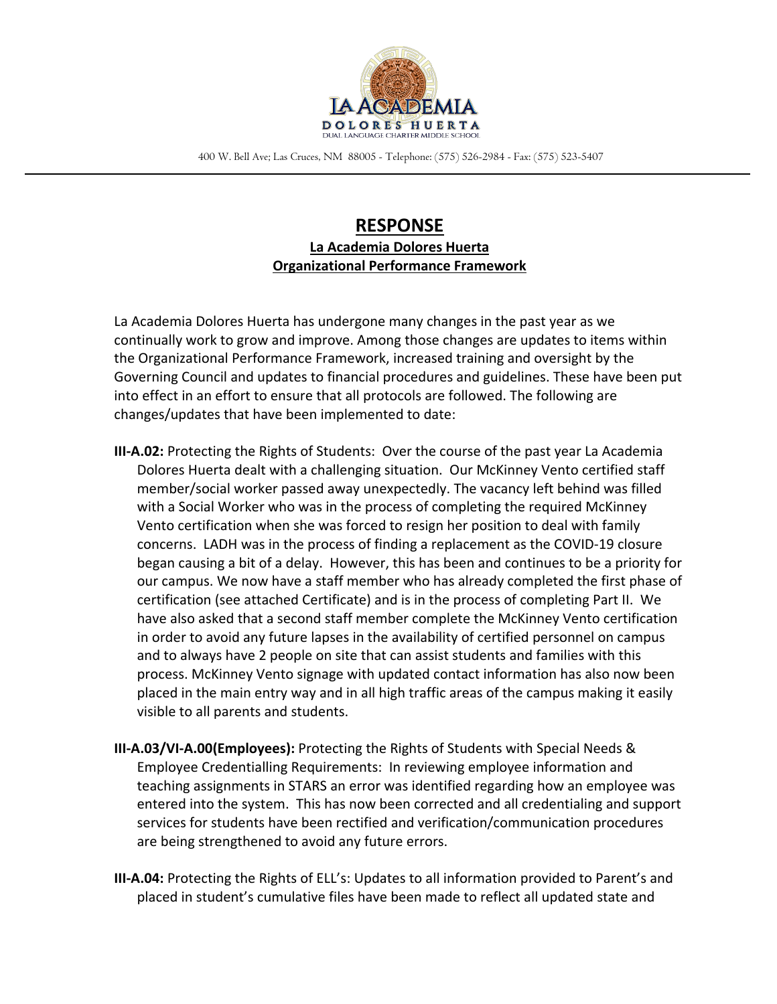

400 W. Bell Ave; Las Cruces, NM 88005 - Telephone: (575) 526-2984 - Fax: (575) 523-5407

# **RESPONSE La Academia Dolores Huerta Organizational Performance Framework**

La Academia Dolores Huerta has undergone many changes in the past year as we continually work to grow and improve. Among those changes are updates to items within the Organizational Performance Framework, increased training and oversight by the Governing Council and updates to financial procedures and guidelines. These have been put into effect in an effort to ensure that all protocols are followed. The following are changes/updates that have been implemented to date:

- **III-A.02:** Protecting the Rights of Students: Over the course of the past year La Academia Dolores Huerta dealt with a challenging situation. Our McKinney Vento certified staff member/social worker passed away unexpectedly. The vacancy left behind was filled with a Social Worker who was in the process of completing the required McKinney Vento certification when she was forced to resign her position to deal with family concerns. LADH was in the process of finding a replacement as the COVID-19 closure began causing a bit of a delay. However, this has been and continues to be a priority for our campus. We now have a staff member who has already completed the first phase of certification (see attached Certificate) and is in the process of completing Part II. We have also asked that a second staff member complete the McKinney Vento certification in order to avoid any future lapses in the availability of certified personnel on campus and to always have 2 people on site that can assist students and families with this process. McKinney Vento signage with updated contact information has also now been placed in the main entry way and in all high traffic areas of the campus making it easily visible to all parents and students.
- **III-A.03/VI-A.00(Employees):** Protecting the Rights of Students with Special Needs & Employee Credentialling Requirements: In reviewing employee information and teaching assignments in STARS an error was identified regarding how an employee was entered into the system. This has now been corrected and all credentialing and support services for students have been rectified and verification/communication procedures are being strengthened to avoid any future errors.
- **III-A.04:** Protecting the Rights of ELL's: Updates to all information provided to Parent's and placed in student's cumulative files have been made to reflect all updated state and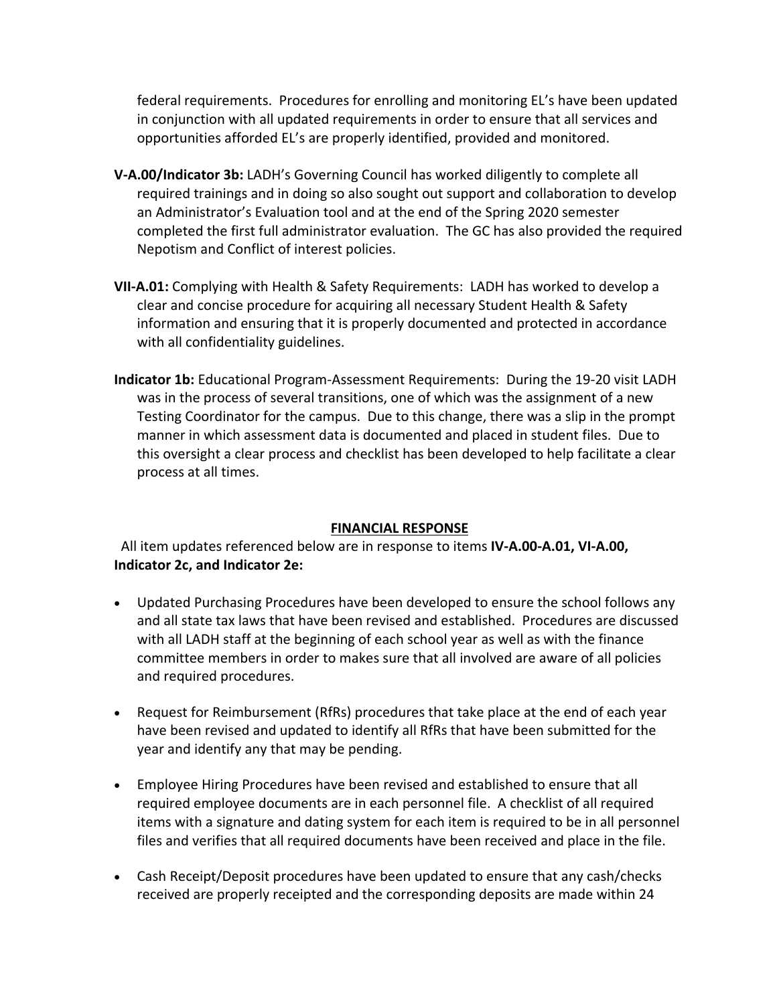federal requirements. Procedures for enrolling and monitoring EL's have been updated in conjunction with all updated requirements in order to ensure that all services and opportunities afforded EL's are properly identified, provided and monitored.

- **V-A.00/Indicator 3b:** LADH's Governing Council has worked diligently to complete all required trainings and in doing so also sought out support and collaboration to develop an Administrator's Evaluation tool and at the end of the Spring 2020 semester completed the first full administrator evaluation. The GC has also provided the required Nepotism and Conflict of interest policies.
- **VII-A.01:** Complying with Health & Safety Requirements: LADH has worked to develop a clear and concise procedure for acquiring all necessary Student Health & Safety information and ensuring that it is properly documented and protected in accordance with all confidentiality guidelines.
- **Indicator 1b:** Educational Program-Assessment Requirements: During the 19-20 visit LADH was in the process of several transitions, one of which was the assignment of a new Testing Coordinator for the campus. Due to this change, there was a slip in the prompt manner in which assessment data is documented and placed in student files. Due to this oversight a clear process and checklist has been developed to help facilitate a clear process at all times.

## **FINANCIAL RESPONSE**

 All item updates referenced below are in response to items **IV-A.00-A.01, VI-A.00, Indicator 2c, and Indicator 2e:**

- Updated Purchasing Procedures have been developed to ensure the school follows any and all state tax laws that have been revised and established. Procedures are discussed with all LADH staff at the beginning of each school year as well as with the finance committee members in order to makes sure that all involved are aware of all policies and required procedures.
- Request for Reimbursement (RfRs) procedures that take place at the end of each year have been revised and updated to identify all RfRs that have been submitted for the year and identify any that may be pending.
- Employee Hiring Procedures have been revised and established to ensure that all required employee documents are in each personnel file. A checklist of all required items with a signature and dating system for each item is required to be in all personnel files and verifies that all required documents have been received and place in the file.
- Cash Receipt/Deposit procedures have been updated to ensure that any cash/checks received are properly receipted and the corresponding deposits are made within 24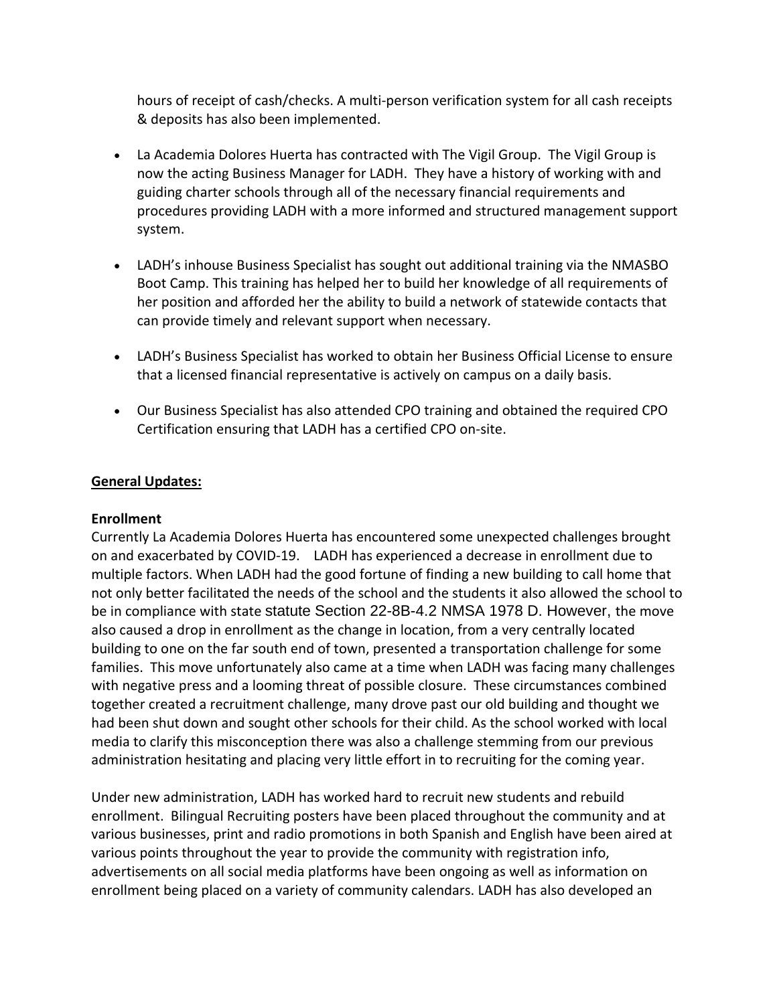hours of receipt of cash/checks. A multi-person verification system for all cash receipts & deposits has also been implemented.

- La Academia Dolores Huerta has contracted with The Vigil Group. The Vigil Group is now the acting Business Manager for LADH. They have a history of working with and guiding charter schools through all of the necessary financial requirements and procedures providing LADH with a more informed and structured management support system.
- LADH's inhouse Business Specialist has sought out additional training via the NMASBO Boot Camp. This training has helped her to build her knowledge of all requirements of her position and afforded her the ability to build a network of statewide contacts that can provide timely and relevant support when necessary.
- LADH's Business Specialist has worked to obtain her Business Official License to ensure that a licensed financial representative is actively on campus on a daily basis.
- Our Business Specialist has also attended CPO training and obtained the required CPO Certification ensuring that LADH has a certified CPO on-site.

## **General Updates:**

### **Enrollment**

Currently La Academia Dolores Huerta has encountered some unexpected challenges brought on and exacerbated by COVID-19. LADH has experienced a decrease in enrollment due to multiple factors. When LADH had the good fortune of finding a new building to call home that not only better facilitated the needs of the school and the students it also allowed the school to be in compliance with state statute Section 22-8B-4.2 NMSA 1978 D. However, the move also caused a drop in enrollment as the change in location, from a very centrally located building to one on the far south end of town, presented a transportation challenge for some families. This move unfortunately also came at a time when LADH was facing many challenges with negative press and a looming threat of possible closure. These circumstances combined together created a recruitment challenge, many drove past our old building and thought we had been shut down and sought other schools for their child. As the school worked with local media to clarify this misconception there was also a challenge stemming from our previous administration hesitating and placing very little effort in to recruiting for the coming year.

Under new administration, LADH has worked hard to recruit new students and rebuild enrollment. Bilingual Recruiting posters have been placed throughout the community and at various businesses, print and radio promotions in both Spanish and English have been aired at various points throughout the year to provide the community with registration info, advertisements on all social media platforms have been ongoing as well as information on enrollment being placed on a variety of community calendars. LADH has also developed an